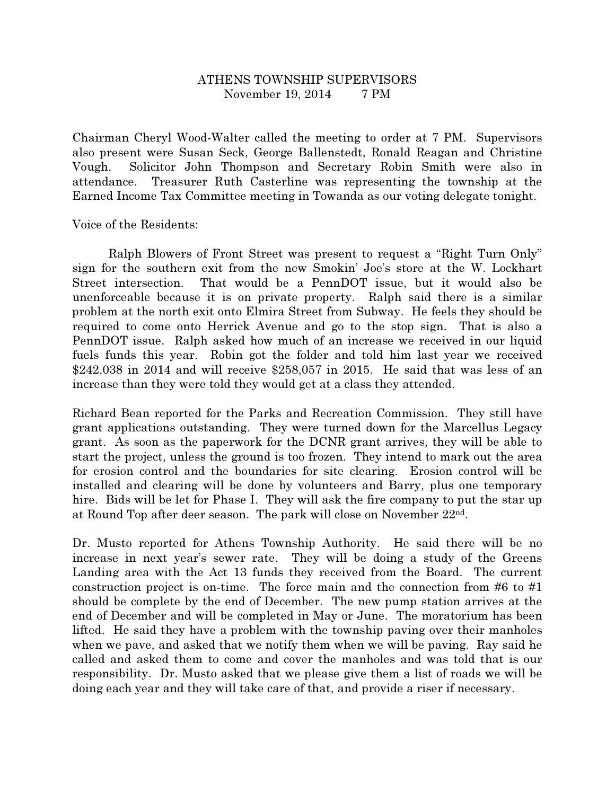## ATHENS TOWNSHIP SUPERVISORS November 19, 2014 7 PM

Chairman Cheryl Wood-Walter called the meeting to order at 7 PM. Supervisors also present were Susan Seck, George Ballenstedt, Ronald Reagan and Christine Vough. Solicitor John Thompson and Secretary Robin Smith were also in attendance. Treasurer Ruth Casterline was representing the township at the Earned Income Tax Committee meeting in Towanda as our voting delegate tonight.

Voice of the Residents:

 Ralph Blowers of Front Street was present to request a "Right Turn Only" sign for the southern exit from the new Smokin' Joe's store at the W. Lockhart Street intersection. That would be a PennDOT issue, but it would also be unenforceable because it is on private property. Ralph said there is a similar problem at the north exit onto Elmira Street from Subway. He feels they should be required to come onto Herrick Avenue and go to the stop sign. That is also a PennDOT issue. Ralph asked how much of an increase we received in our liquid fuels funds this year. Robin got the folder and told him last year we received \$242,038 in 2014 and will receive \$258,057 in 2015. He said that was less of an increase than they were told they would get at a class they attended.

Richard Bean reported for the Parks and Recreation Commission. They still have grant applications outstanding. They were turned down for the Marcellus Legacy grant. As soon as the paperwork for the DCNR grant arrives, they will be able to start the project, unless the ground is too frozen. They intend to mark out the area for erosion control and the boundaries for site clearing. Erosion control will be installed and clearing will be done by volunteers and Barry, plus one temporary hire. Bids will be let for Phase I. They will ask the fire company to put the star up at Round Top after deer season. The park will close on November 22nd.

Dr. Musto reported for Athens Township Authority. He said there will be no increase in next year's sewer rate. They will be doing a study of the Greens Landing area with the Act 13 funds they received from the Board. The current construction project is on-time. The force main and the connection from #6 to #1 should be complete by the end of December. The new pump station arrives at the end of December and will be completed in May or June. The moratorium has been lifted. He said they have a problem with the township paving over their manholes when we pave, and asked that we notify them when we will be paving. Ray said he called and asked them to come and cover the manholes and was told that is our responsibility. Dr. Musto asked that we please give them a list of roads we will be doing each year and they will take care of that, and provide a riser if necessary.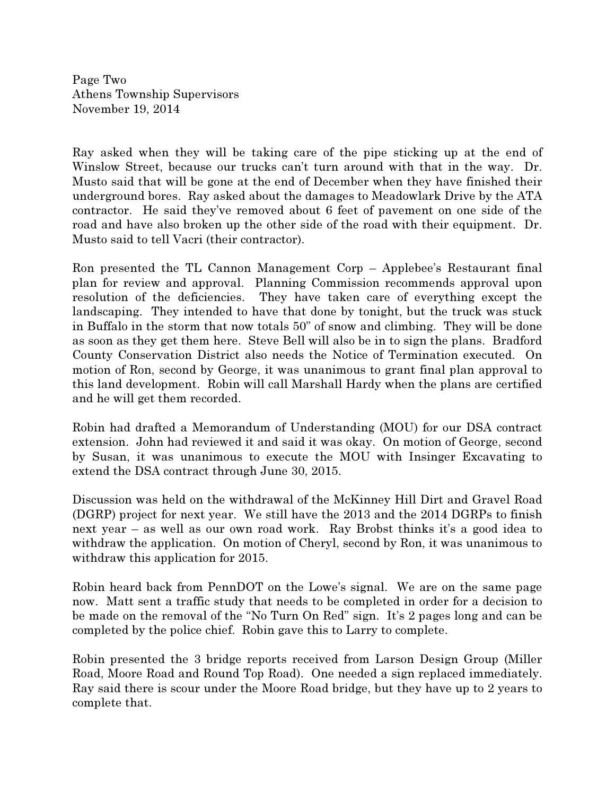Page Two Athens Township Supervisors November 19, 2014

Ray asked when they will be taking care of the pipe sticking up at the end of Winslow Street, because our trucks can't turn around with that in the way. Dr. Musto said that will be gone at the end of December when they have finished their underground bores. Ray asked about the damages to Meadowlark Drive by the ATA contractor. He said they've removed about 6 feet of pavement on one side of the road and have also broken up the other side of the road with their equipment. Dr. Musto said to tell Vacri (their contractor).

Ron presented the TL Cannon Management Corp – Applebee's Restaurant final plan for review and approval. Planning Commission recommends approval upon resolution of the deficiencies. They have taken care of everything except the landscaping. They intended to have that done by tonight, but the truck was stuck in Buffalo in the storm that now totals 50" of snow and climbing. They will be done as soon as they get them here. Steve Bell will also be in to sign the plans. Bradford County Conservation District also needs the Notice of Termination executed. On motion of Ron, second by George, it was unanimous to grant final plan approval to this land development. Robin will call Marshall Hardy when the plans are certified and he will get them recorded.

Robin had drafted a Memorandum of Understanding (MOU) for our DSA contract extension. John had reviewed it and said it was okay. On motion of George, second by Susan, it was unanimous to execute the MOU with Insinger Excavating to extend the DSA contract through June 30, 2015.

Discussion was held on the withdrawal of the McKinney Hill Dirt and Gravel Road (DGRP) project for next year. We still have the 2013 and the 2014 DGRPs to finish next year – as well as our own road work. Ray Brobst thinks it's a good idea to withdraw the application. On motion of Cheryl, second by Ron, it was unanimous to withdraw this application for 2015.

Robin heard back from PennDOT on the Lowe's signal. We are on the same page now. Matt sent a traffic study that needs to be completed in order for a decision to be made on the removal of the "No Turn On Red" sign. It's 2 pages long and can be completed by the police chief. Robin gave this to Larry to complete.

Robin presented the 3 bridge reports received from Larson Design Group (Miller Road, Moore Road and Round Top Road). One needed a sign replaced immediately. Ray said there is scour under the Moore Road bridge, but they have up to 2 years to complete that.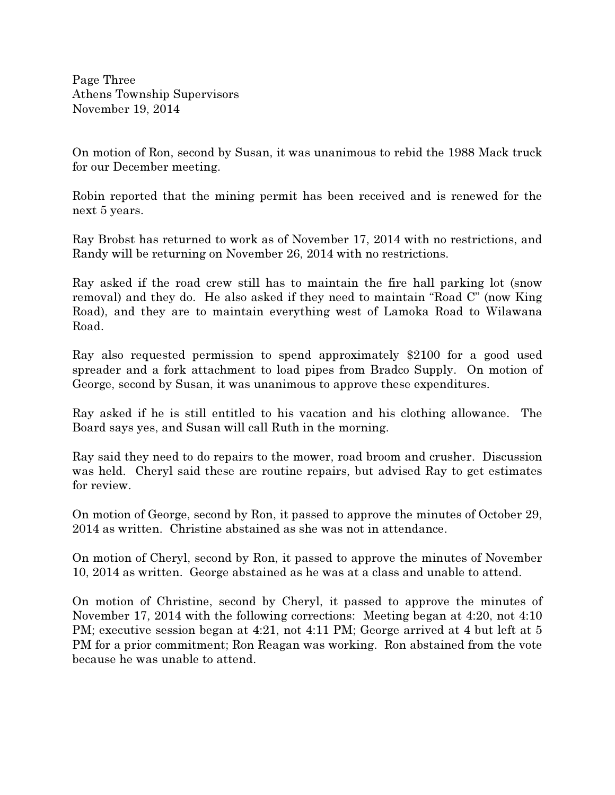Page Three Athens Township Supervisors November 19, 2014

On motion of Ron, second by Susan, it was unanimous to rebid the 1988 Mack truck for our December meeting.

Robin reported that the mining permit has been received and is renewed for the next 5 years.

Ray Brobst has returned to work as of November 17, 2014 with no restrictions, and Randy will be returning on November 26, 2014 with no restrictions.

Ray asked if the road crew still has to maintain the fire hall parking lot (snow removal) and they do. He also asked if they need to maintain "Road C" (now King Road), and they are to maintain everything west of Lamoka Road to Wilawana Road.

Ray also requested permission to spend approximately \$2100 for a good used spreader and a fork attachment to load pipes from Bradco Supply. On motion of George, second by Susan, it was unanimous to approve these expenditures.

Ray asked if he is still entitled to his vacation and his clothing allowance. The Board says yes, and Susan will call Ruth in the morning.

Ray said they need to do repairs to the mower, road broom and crusher. Discussion was held. Cheryl said these are routine repairs, but advised Ray to get estimates for review.

On motion of George, second by Ron, it passed to approve the minutes of October 29, 2014 as written. Christine abstained as she was not in attendance.

On motion of Cheryl, second by Ron, it passed to approve the minutes of November 10, 2014 as written. George abstained as he was at a class and unable to attend.

On motion of Christine, second by Cheryl, it passed to approve the minutes of November 17, 2014 with the following corrections: Meeting began at 4:20, not 4:10 PM; executive session began at 4:21, not 4:11 PM; George arrived at 4 but left at 5 PM for a prior commitment; Ron Reagan was working. Ron abstained from the vote because he was unable to attend.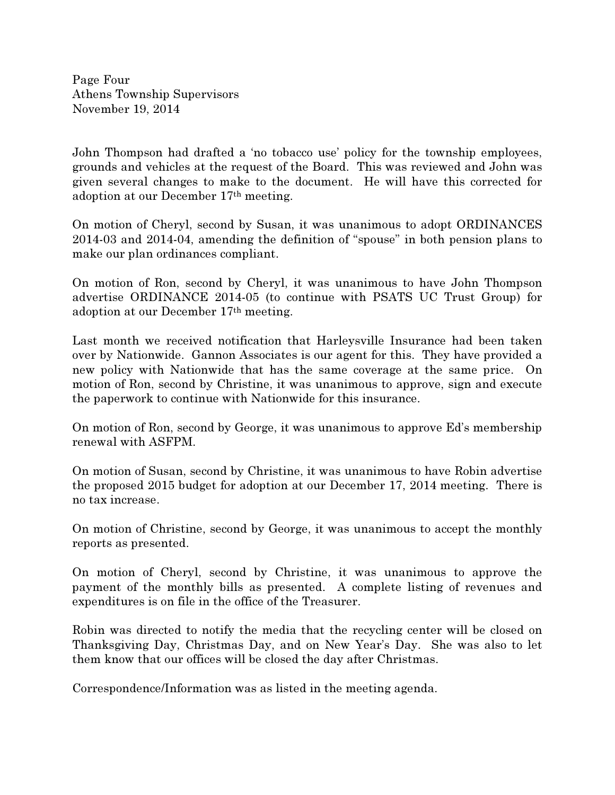Page Four Athens Township Supervisors November 19, 2014

John Thompson had drafted a 'no tobacco use' policy for the township employees, grounds and vehicles at the request of the Board. This was reviewed and John was given several changes to make to the document. He will have this corrected for adoption at our December 17th meeting.

On motion of Cheryl, second by Susan, it was unanimous to adopt ORDINANCES 2014-03 and 2014-04, amending the definition of "spouse" in both pension plans to make our plan ordinances compliant.

On motion of Ron, second by Cheryl, it was unanimous to have John Thompson advertise ORDINANCE 2014-05 (to continue with PSATS UC Trust Group) for adoption at our December 17th meeting.

Last month we received notification that Harleysville Insurance had been taken over by Nationwide. Gannon Associates is our agent for this. They have provided a new policy with Nationwide that has the same coverage at the same price. On motion of Ron, second by Christine, it was unanimous to approve, sign and execute the paperwork to continue with Nationwide for this insurance.

On motion of Ron, second by George, it was unanimous to approve Ed's membership renewal with ASFPM.

On motion of Susan, second by Christine, it was unanimous to have Robin advertise the proposed 2015 budget for adoption at our December 17, 2014 meeting. There is no tax increase.

On motion of Christine, second by George, it was unanimous to accept the monthly reports as presented.

On motion of Cheryl, second by Christine, it was unanimous to approve the payment of the monthly bills as presented. A complete listing of revenues and expenditures is on file in the office of the Treasurer.

Robin was directed to notify the media that the recycling center will be closed on Thanksgiving Day, Christmas Day, and on New Year's Day. She was also to let them know that our offices will be closed the day after Christmas.

Correspondence/Information was as listed in the meeting agenda.